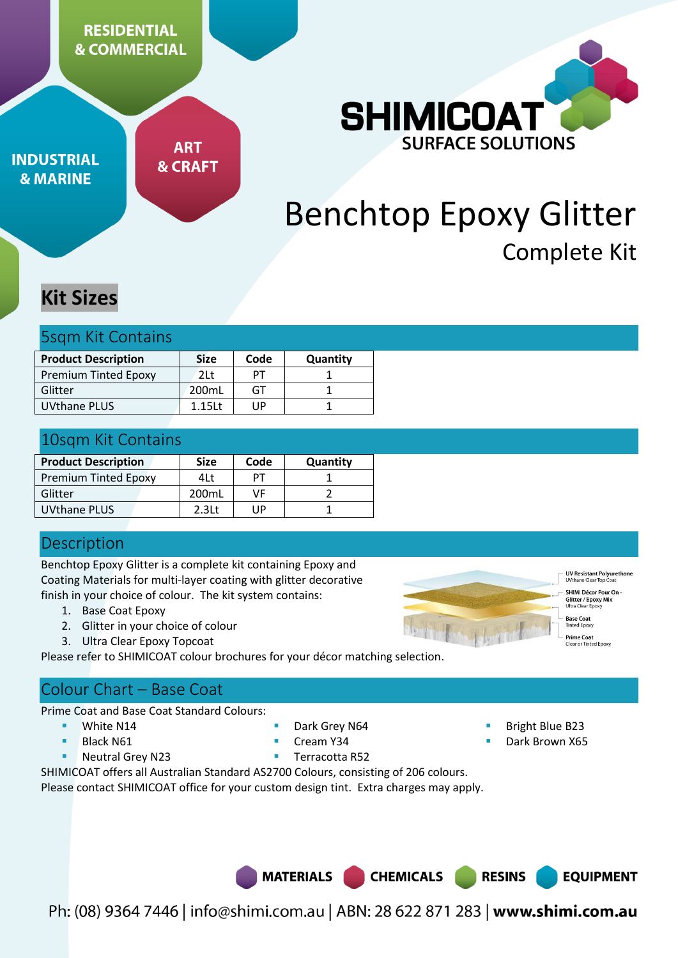**RESIDENTIAL & COMMERCIAL** 

**INDUSTRIAL & MARINE** 

**ART & CRAFT** 



# Benchtop Epoxy Glitter Complete Kit

## **Kit Sizes**

|  |  | <b>5sqm Kit Contains</b> |  |
|--|--|--------------------------|--|
|--|--|--------------------------|--|

| <b>Product Description</b>  | <b>Size</b> | Code | Quantity |
|-----------------------------|-------------|------|----------|
| <b>Premium Tinted Epoxy</b> | 21 t        | PТ   |          |
| Glitter                     | 200mL       | GT   |          |
| UVthane PLUS                | 1.15L       | ΠP   |          |

## 10sqm Kit Contains

| <b>Product Description</b>  | <b>Size</b>       | Code | Quantity |
|-----------------------------|-------------------|------|----------|
| <b>Premium Tinted Epoxy</b> | 4Lt               | ÞТ   |          |
| Glitter                     | 200mL             | ٧F   |          |
| UVthane PLUS                | 2.3 <sub>lt</sub> | l IP |          |

## **Description**

Benchtop Epoxy Glitter is a complete kit containing Epoxy and Coating Materials for multi-layer coating with glitter decorative finish in your choice of colour. The kit system contains:

- 1. Base Coat Epoxy
- 2. Glitter in your choice of colour
- 3. Ultra Clear Epoxy Topcoat

Please refer to SHIMICOAT colour brochures for your décor matching selection.

## Colour Chart – Base Coat

Prime Coat and Base Coat Standard Colours:

- White N14
- Black N61
- **Neutral Grey N23**
- Dark Grey N64
- Cream Y34
- Terracotta R52

Bright Blue B23

**UV Resistant Polyureth**<br>UVthane Clear Top Coat SHIMI Décor Pour On -**Glitter / Epoxy Mi:**<br>Jltra Clear Epoxy **Base Coat** 

**Prime Coat**<br>Clear or Tinted Epoxy

**EQUIPMENT** 

- Dark Brown X65
- SHIMICOAT offers all Australian Standard AS2700 Colours, consisting of 206 colours.

Please contact SHIMICOAT office for your custom design tint. Extra charges may apply.

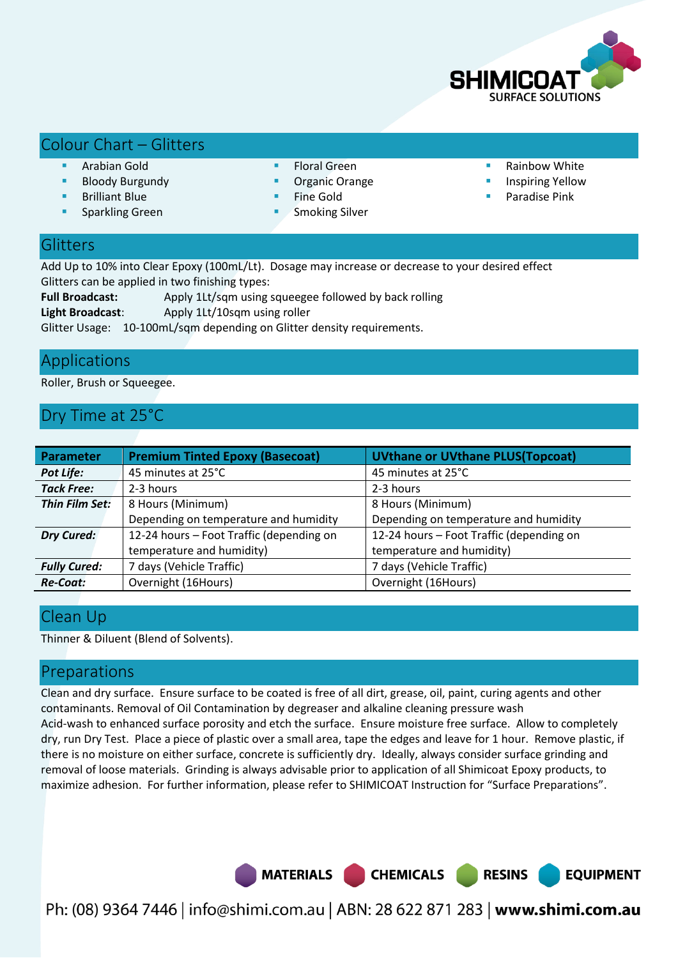

## Colour Chart – Glitters

- Arabian Gold
- Bloody Burgundy
- Brilliant Blue
- Sparkling Green
- Floral Green
- Organic Orange
- Fine Gold
- Smoking Silver
- Rainbow White
- Inspiring Yellow

**EQUIPMENT** 

Paradise Pink

## **Glitters**

Add Up to 10% into Clear Epoxy (100mL/Lt). Dosage may increase or decrease to your desired effect Glitters can be applied in two finishing types:

**Full Broadcast:** Apply 1Lt/sqm using squeegee followed by back rolling

**Light Broadcast**: Apply 1Lt/10sqm using roller

Glitter Usage: 10-100mL/sqm depending on Glitter density requirements.

## Applications

Roller, Brush or Squeegee.

## Dry Time at 25°C

| <b>Parameter</b>    | <b>Premium Tinted Epoxy (Basecoat)</b>   | <b>UVthane or UVthane PLUS(Topcoat)</b>  |
|---------------------|------------------------------------------|------------------------------------------|
| <b>Pot Life:</b>    | 45 minutes at 25°C                       | 45 minutes at 25°C                       |
| <b>Tack Free:</b>   | 2-3 hours                                | 2-3 hours                                |
| Thin Film Set:      | 8 Hours (Minimum)                        | 8 Hours (Minimum)                        |
|                     | Depending on temperature and humidity    | Depending on temperature and humidity    |
| <b>Dry Cured:</b>   | 12-24 hours - Foot Traffic (depending on | 12-24 hours - Foot Traffic (depending on |
|                     | temperature and humidity)                | temperature and humidity)                |
| <b>Fully Cured:</b> | 7 days (Vehicle Traffic)                 | 7 days (Vehicle Traffic)                 |
| <b>Re-Coat:</b>     | Overnight (16Hours)                      | Overnight (16Hours)                      |

## Clean Up

Thinner & Diluent (Blend of Solvents).

### Preparations

Clean and dry surface. Ensure surface to be coated is free of all dirt, grease, oil, paint, curing agents and other contaminants. Removal of Oil Contamination by degreaser and alkaline cleaning pressure wash Acid-wash to enhanced surface porosity and etch the surface. Ensure moisture free surface. Allow to completely dry, run Dry Test. Place a piece of plastic over a small area, tape the edges and leave for 1 hour. Remove plastic, if there is no moisture on either surface, concrete is sufficiently dry. Ideally, always consider surface grinding and removal of loose materials. Grinding is always advisable prior to application of all Shimicoat Epoxy products, to maximize adhesion. For further information, please refer to SHIMICOAT Instruction for "Surface Preparations".

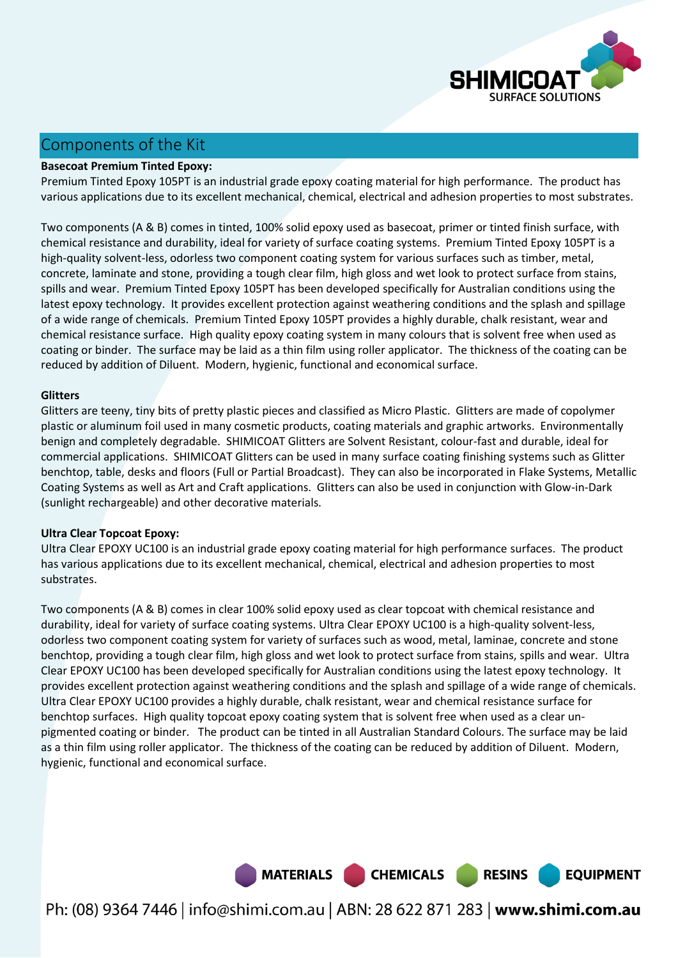

## Components of the Kit

#### **Basecoat Premium Tinted Epoxy:**

Premium Tinted Epoxy 105PT is an industrial grade epoxy coating material for high performance. The product has various applications due to its excellent mechanical, chemical, electrical and adhesion properties to most substrates.

Two components (A & B) comes in tinted, 100% solid epoxy used as basecoat, primer or tinted finish surface, with chemical resistance and durability, ideal for variety of surface coating systems. Premium Tinted Epoxy 105PT is a high-quality solvent-less, odorless two component coating system for various surfaces such as timber, metal, concrete, laminate and stone, providing a tough clear film, high gloss and wet look to protect surface from stains, spills and wear. Premium Tinted Epoxy 105PT has been developed specifically for Australian conditions using the latest epoxy technology. It provides excellent protection against weathering conditions and the splash and spillage of a wide range of chemicals. Premium Tinted Epoxy 105PT provides a highly durable, chalk resistant, wear and chemical resistance surface. High quality epoxy coating system in many colours that is solvent free when used as coating or binder. The surface may be laid as a thin film using roller applicator. The thickness of the coating can be reduced by addition of Diluent. Modern, hygienic, functional and economical surface.

#### **Glitters**

Glitters are teeny, tiny bits of pretty plastic pieces and classified as Micro Plastic. Glitters are made of copolymer plastic or aluminum foil used in many cosmetic products, coating materials and graphic artworks. Environmentally benign and completely degradable. SHIMICOAT Glitters are Solvent Resistant, colour-fast and durable, ideal for commercial applications. SHIMICOAT Glitters can be used in many surface coating finishing systems such as Glitter benchtop, table, desks and floors (Full or Partial Broadcast). They can also be incorporated in Flake Systems, Metallic Coating Systems as well as Art and Craft applications. Glitters can also be used in conjunction with Glow-in-Dark (sunlight rechargeable) and other decorative materials.

#### **Ultra Clear Topcoat Epoxy:**

Ultra Clear EPOXY UC100 is an industrial grade epoxy coating material for high performance surfaces. The product has various applications due to its excellent mechanical, chemical, electrical and adhesion properties to most substrates.

Two components (A & B) comes in clear 100% solid epoxy used as clear topcoat with chemical resistance and durability, ideal for variety of surface coating systems. Ultra Clear EPOXY UC100 is a high-quality solvent-less, odorless two component coating system for variety of surfaces such as wood, metal, laminae, concrete and stone benchtop, providing a tough clear film, high gloss and wet look to protect surface from stains, spills and wear. Ultra Clear EPOXY UC100 has been developed specifically for Australian conditions using the latest epoxy technology. It provides excellent protection against weathering conditions and the splash and spillage of a wide range of chemicals. Ultra Clear EPOXY UC100 provides a highly durable, chalk resistant, wear and chemical resistance surface for benchtop surfaces. High quality topcoat epoxy coating system that is solvent free when used as a clear unpigmented coating or binder. The product can be tinted in all Australian Standard Colours. The surface may be laid as a thin film using roller applicator. The thickness of the coating can be reduced by addition of Diluent. Modern, hygienic, functional and economical surface.

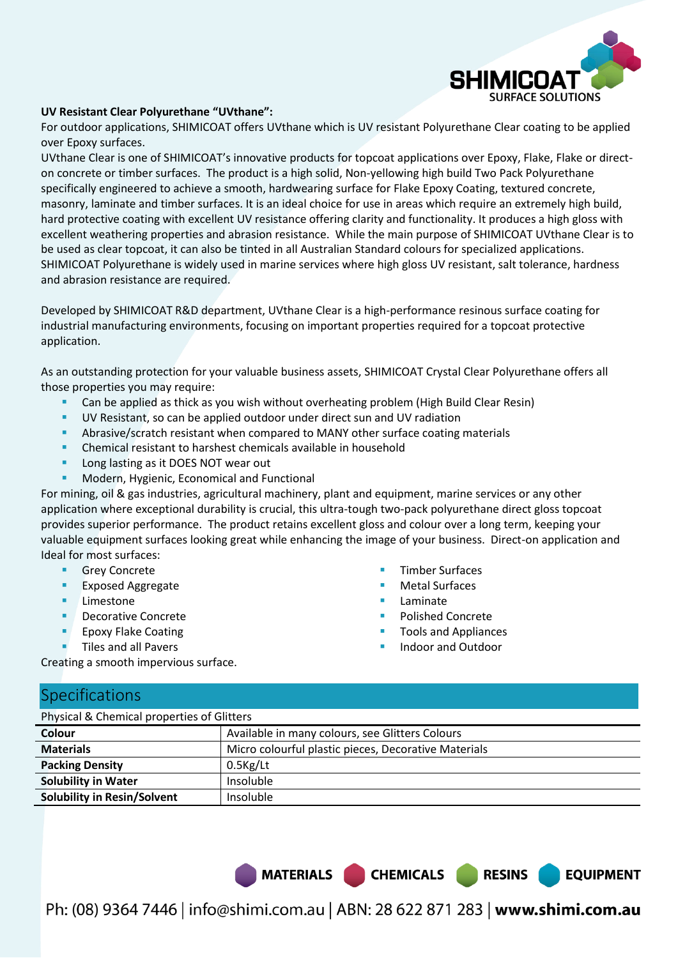

#### **UV Resistant Clear Polyurethane "UVthane":**

For outdoor applications, SHIMICOAT offers UVthane which is UV resistant Polyurethane Clear coating to be applied over Epoxy surfaces.

UVthane Clear is one of SHIMICOAT's innovative products for topcoat applications over Epoxy, Flake, Flake or directon concrete or timber surfaces. The product is a high solid, Non-yellowing high build Two Pack Polyurethane specifically engineered to achieve a smooth, hardwearing surface for Flake Epoxy Coating, textured concrete, masonry, laminate and timber surfaces. It is an ideal choice for use in areas which require an extremely high build, hard protective coating with excellent UV resistance offering clarity and functionality. It produces a high gloss with excellent weathering properties and abrasion resistance. While the main purpose of SHIMICOAT UVthane Clear is to be used as clear topcoat, it can also be tinted in all Australian Standard colours for specialized applications. SHIMICOAT Polyurethane is widely used in marine services where high gloss UV resistant, salt tolerance, hardness and abrasion resistance are required.

Developed by SHIMICOAT R&D department, UVthane Clear is a high-performance resinous surface coating for industrial manufacturing environments, focusing on important properties required for a topcoat protective application.

As an outstanding protection for your valuable business assets, SHIMICOAT Crystal Clear Polyurethane offers all those properties you may require:

- Can be applied as thick as you wish without overheating problem (High Build Clear Resin)
- UV Resistant, so can be applied outdoor under direct sun and UV radiation
- Abrasive/scratch resistant when compared to MANY other surface coating materials
- Chemical resistant to harshest chemicals available in household
- Long lasting as it DOES NOT wear out
- Modern, Hygienic, Economical and Functional

For mining, oil & gas industries, agricultural machinery, plant and equipment, marine services or any other application where exceptional durability is crucial, this ultra-tough two-pack polyurethane direct gloss topcoat provides superior performance. The product retains excellent gloss and colour over a long term, keeping your valuable equipment surfaces looking great while enhancing the image of your business. Direct-on application and Ideal for most surfaces:

- **Grey Concrete**
- Exposed Aggregate
- **Limestone**
- Decorative Concrete
- Epoxy Flake Coating
- Tiles and all Pavers
- Timber Surfaces
- Metal Surfaces
- Laminate
- Polished Concrete
- Tools and Appliances

**EQUIPMENT** 

Indoor and Outdoor

Creating a smooth impervious surface.

#### Specifications

Physical & Chemical properties of Glitters

| Privated & Chemical properties of Gifters            |  |  |  |  |
|------------------------------------------------------|--|--|--|--|
| Available in many colours, see Glitters Colours      |  |  |  |  |
| Micro colourful plastic pieces, Decorative Materials |  |  |  |  |
| $0.5$ Kg/Lt                                          |  |  |  |  |
| Insoluble                                            |  |  |  |  |
| Insoluble                                            |  |  |  |  |
|                                                      |  |  |  |  |

MATERIALS CHEMICALS RESINS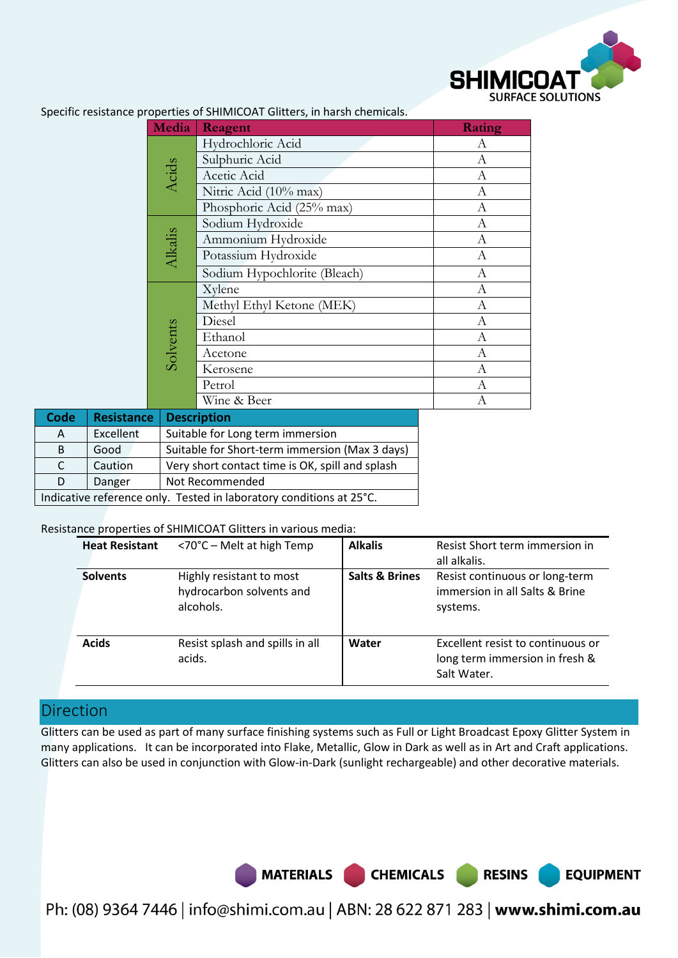

**EQUIPMENT** 

| Media    | Reagent                      | <b>Rating</b>    |
|----------|------------------------------|------------------|
|          | Hydrochloric Acid            | А                |
|          | Sulphuric Acid               | A                |
| Acids    | Acetic Acid                  | A                |
|          | Nitric Acid (10% max)        | $\mathbf{A}$     |
|          | Phosphoric Acid (25% max)    | A                |
|          | Sodium Hydroxide             | A                |
|          | Ammonium Hydroxide           | A                |
| Alkalis  | Potassium Hydroxide          | A                |
|          | Sodium Hypochlorite (Bleach) | $\boldsymbol{A}$ |
| Solvents | Xylene                       | А                |
|          | Methyl Ethyl Ketone (MEK)    | А                |
|          | Diesel                       | А                |
|          | Ethanol                      | А                |
|          | Acetone                      | А                |
|          | Kerosene                     | А                |
|          | Petrol                       | А                |
|          | Wine & Beer                  | А                |

Specific resistance properties of SHIMICOAT Glitters, in harsh chemicals.

| <b>Code</b>                                                         | <b>Resistance</b>         | <b>Description</b>                              |  |
|---------------------------------------------------------------------|---------------------------|-------------------------------------------------|--|
| $\mathsf{A}$                                                        | Excellent                 | Suitable for Long term immersion                |  |
| B                                                                   | Good                      | Suitable for Short-term immersion (Max 3 days)  |  |
| C.                                                                  | Caution                   | Very short contact time is OK, spill and splash |  |
| D                                                                   | Danger<br>Not Recommended |                                                 |  |
| Indicative reference only. Tested in laboratory conditions at 25°C. |                           |                                                 |  |

#### Resistance properties of SHIMICOAT Glitters in various media:

| <b>Heat Resistant</b> | <70°C - Melt at high Temp                                         | <b>Alkalis</b>            | Resist Short term immersion in<br>all alkalis.                                     |
|-----------------------|-------------------------------------------------------------------|---------------------------|------------------------------------------------------------------------------------|
| <b>Solvents</b>       | Highly resistant to most<br>hydrocarbon solvents and<br>alcohols. | <b>Salts &amp; Brines</b> | Resist continuous or long-term<br>immersion in all Salts & Brine<br>systems.       |
| <b>Acids</b>          | Resist splash and spills in all<br>acids.                         | Water                     | Excellent resist to continuous or<br>long term immersion in fresh &<br>Salt Water. |

## Direction

Glitters can be used as part of many surface finishing systems such as Full or Light Broadcast Epoxy Glitter System in many applications. It can be incorporated into Flake, Metallic, Glow in Dark as well as in Art and Craft applications. Glitters can also be used in conjunction with Glow-in-Dark (sunlight rechargeable) and other decorative materials.

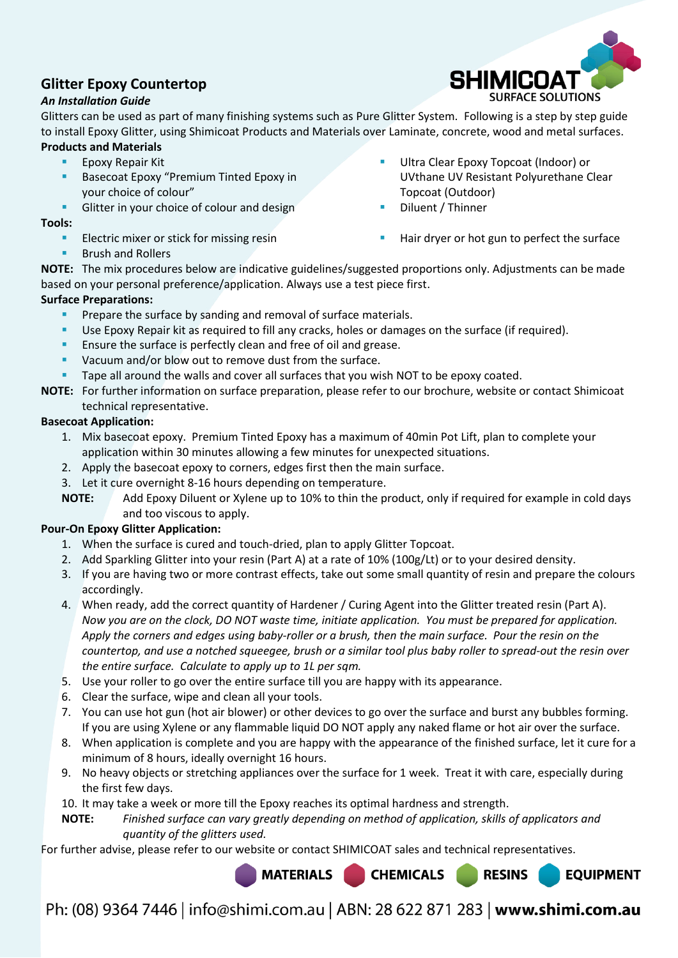## **Glitter Epoxy Countertop**

#### *An Installation Guide*

Glitters can be used as part of many finishing systems such as Pure Glitter System. Following is a step by step guide to install Epoxy Glitter, using Shimicoat Products and Materials over Laminate, concrete, wood and metal surfaces. **Products and Materials** 

- **Epoxy Repair Kit**
- Basecoat Epoxy "Premium Tinted Epoxy in your choice of colour"
- Glitter in your choice of colour and design
- **Tools:** 
	- Electric mixer or stick for missing resin
	- Brush and Rollers
- Ultra Clear Epoxy Topcoat (Indoor) or UVthane UV Resistant Polyurethane Clear Topcoat (Outdoor)
- Diluent / Thinner
- Hair dryer or hot gun to perfect the surface

**RESINS** 

**EQUIPMENT** 

**NOTE:** The mix procedures below are indicative guidelines/suggested proportions only. Adjustments can be made based on your personal preference/application. Always use a test piece first.

#### **Surface Preparations:**

- Prepare the surface by sanding and removal of surface materials.
- Use Epoxy Repair kit as required to fill any cracks, holes or damages on the surface (if required).
- Ensure the surface is perfectly clean and free of oil and grease.
- Vacuum and/or blow out to remove dust from the surface.
- Tape all around the walls and cover all surfaces that you wish NOT to be epoxy coated.
- **NOTE:** For further information on surface preparation, please refer to our brochure, website or contact Shimicoat technical representative.

#### **Basecoat Application:**

- 1. Mix basecoat epoxy. Premium Tinted Epoxy has a maximum of 40min Pot Lift, plan to complete your application within 30 minutes allowing a few minutes for unexpected situations.
- 2. Apply the basecoat epoxy to corners, edges first then the main surface.
- 3. Let it cure overnight 8-16 hours depending on temperature.
- **NOTE:** Add Epoxy Diluent or Xylene up to 10% to thin the product, only if required for example in cold days and too viscous to apply.

#### **Pour-On Epoxy Glitter Application:**

- 1. When the surface is cured and touch-dried, plan to apply Glitter Topcoat.
- 2. Add Sparkling Glitter into your resin (Part A) at a rate of 10% (100g/Lt) or to your desired density.
- 3. If you are having two or more contrast effects, take out some small quantity of resin and prepare the colours accordingly.
- 4. When ready, add the correct quantity of Hardener / Curing Agent into the Glitter treated resin (Part A). *Now you are on the clock, DO NOT waste time, initiate application. You must be prepared for application. Apply the corners and edges using baby-roller or a brush, then the main surface. Pour the resin on the countertop, and use a notched squeegee, brush or a similar tool plus baby roller to spread-out the resin over the entire surface. Calculate to apply up to 1L per sqm.*
- 5. Use your roller to go over the entire surface till you are happy with its appearance.
- 6. Clear the surface, wipe and clean all your tools.
- 7. You can use hot gun (hot air blower) or other devices to go over the surface and burst any bubbles forming. If you are using Xylene or any flammable liquid DO NOT apply any naked flame or hot air over the surface.
- 8. When application is complete and you are happy with the appearance of the finished surface, let it cure for a minimum of 8 hours, ideally overnight 16 hours.
- 9. No heavy objects or stretching appliances over the surface for 1 week. Treat it with care, especially during the first few days.
- 10. It may take a week or more till the Epoxy reaches its optimal hardness and strength.
- **NOTE:** *Finished surface can vary greatly depending on method of application, skills of applicators and quantity of the glitters used.*

For further advise, please refer to our website or contact SHIMICOAT sales and technical representatives.

**MATERIALS CHEMICALS**